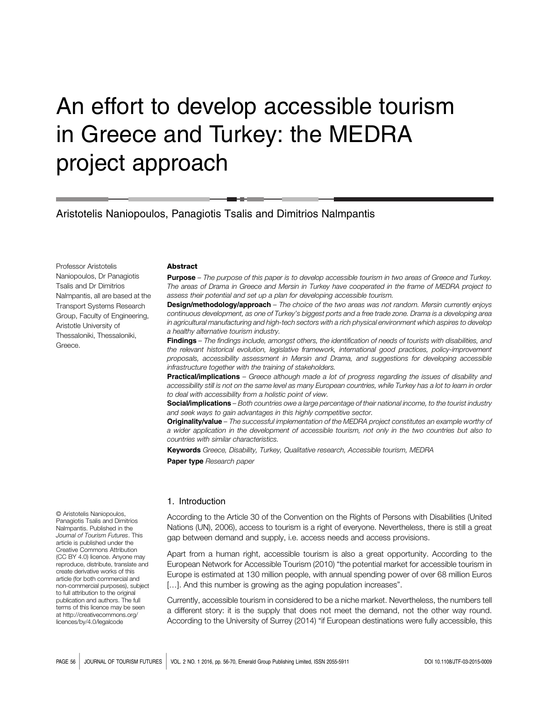# An effort to develop accessible tourism in Greece and Turkey: the MEDRA project approach

Aristotelis Naniopoulos, Panagiotis Tsalis and Dimitrios Nalmpantis

Professor Aristotelis Naniopoulos, Dr Panagiotis Tsalis and Dr Dimitrios Nalmpantis, all are based at the Transport Systems Research Group, Faculty of Engineering, Aristotle University of Thessaloniki, Thessaloniki, Greece.

#### Abstract

Purpose – The purpose of this paper is to develop accessible tourism in two areas of Greece and Turkey. The areas of Drama in Greece and Mersin in Turkey have cooperated in the frame of MEDRA project to assess their potential and set up a plan for developing accessible tourism.

**Design/methodology/approach** – The choice of the two areas was not random. Mersin currently enjoys continuous development, as one of Turkey's biggest ports and a free trade zone. Drama is a developing area in agricultural manufacturing and high-tech sectors with a rich physical environment which aspires to develop a healthy alternative tourism industry.

Findings - The findings include, amongst others, the identification of needs of tourists with disabilities, and the relevant historical evolution, legislative framework, international good practices, policy-improvement proposals, accessibility assessment in Mersin and Drama, and suggestions for developing accessible infrastructure together with the training of stakeholders.

Practical/implications – Greece although made a lot of progress regarding the issues of disability and accessibility still is not on the same level as many European countries, while Turkey has a lot to learn in order to deal with accessibility from a holistic point of view.

Social/implications – Both countries owe a large percentage of their national income, to the tourist industry and seek ways to gain advantages in this highly competitive sector.

Originality/value - The successful implementation of the MEDRA project constitutes an example worthy of a wider application in the development of accessible tourism, not only in the two countries but also to countries with similar characteristics.

Keywords Greece, Disability, Turkey, Qualitative research, Accessible tourism, MEDRA Paper type Research paper

#### 1. Introduction

According to the Article 30 of the Convention on the Rights of Persons with Disabilities (United Nations (UN), 2006), access to tourism is a right of everyone. Nevertheless, there is still a great gap between demand and supply, i.e. access needs and access provisions.

Apart from a human right, accessible tourism is also a great opportunity. According to the European Network for Accessible Tourism (2010) "the potential market for accessible tourism in Europe is estimated at 130 million people, with annual spending power of over 68 million Euros [...]. And this number is growing as the aging population increases".

Currently, accessible tourism in considered to be a niche market. Nevertheless, the numbers tell a different story: it is the supply that does not meet the demand, not the other way round. According to the University of Surrey (2014) "if European destinations were fully accessible, this

© Aristotelis Naniopoulos, Panagiotis Tsalis and Dimitrios Nalmpantis. Published in the Journal of Tourism Futures. This article is published under the Creative Commons Attribution (CC BY 4.0) licence. Anyone may reproduce, distribute, translate and create derivative works of this article (for both commercial and non-commercial purposes), subject to full attribution to the original publication and authors. The full terms of this licence may be seen at [http://creativecommons.org/](http://creativecommons.org/licences/by/4.0/legalcode) [licences/by/4.0/legalcode](http://creativecommons.org/licences/by/4.0/legalcode)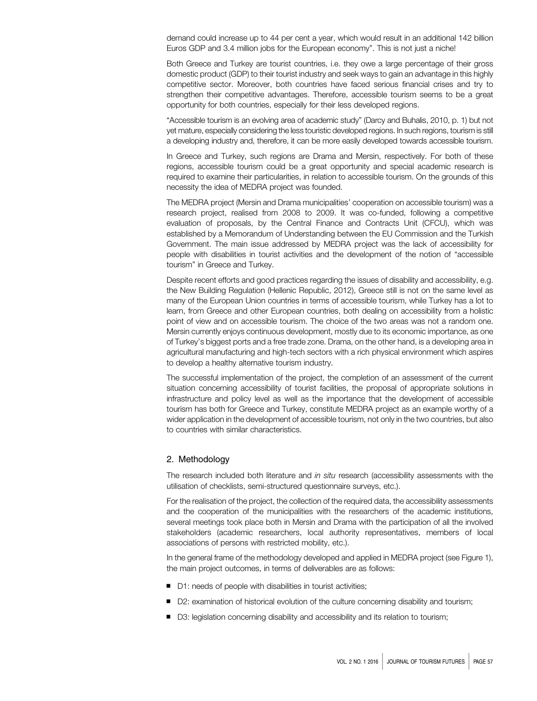demand could increase up to 44 per cent a year, which would result in an additional 142 billion Euros GDP and 3.4 million jobs for the European economy". This is not just a niche!

Both Greece and Turkey are tourist countries, i.e. they owe a large percentage of their gross domestic product (GDP) to their tourist industry and seek ways to gain an advantage in this highly competitive sector. Moreover, both countries have faced serious financial crises and try to strengthen their competitive advantages. Therefore, accessible tourism seems to be a great opportunity for both countries, especially for their less developed regions.

"Accessible tourism is an evolving area of academic study" (Darcy and Buhalis, 2010, p. 1) but not yet mature, especially considering the less touristic developed regions. In such regions, tourism is still a developing industry and, therefore, it can be more easily developed towards accessible tourism.

In Greece and Turkey, such regions are Drama and Mersin, respectively. For both of these regions, accessible tourism could be a great opportunity and special academic research is required to examine their particularities, in relation to accessible tourism. On the grounds of this necessity the idea of MEDRA project was founded.

The MEDRA project (Mersin and Drama municipalities' cooperation on accessible tourism) was a research project, realised from 2008 to 2009. It was co-funded, following a competitive evaluation of proposals, by the Central Finance and Contracts Unit (CFCU), which was established by a Memorandum of Understanding between the EU Commission and the Turkish Government. The main issue addressed by MEDRA project was the lack of accessibility for people with disabilities in tourist activities and the development of the notion of "accessible tourism" in Greece and Turkey.

Despite recent efforts and good practices regarding the issues of disability and accessibility, e.g. the New Building Regulation (Hellenic Republic, 2012), Greece still is not on the same level as many of the European Union countries in terms of accessible tourism, while Turkey has a lot to learn, from Greece and other European countries, both dealing on accessibility from a holistic point of view and on accessible tourism. The choice of the two areas was not a random one. Mersin currently enjoys continuous development, mostly due to its economic importance, as one of Turkey's biggest ports and a free trade zone. Drama, on the other hand, is a developing area in agricultural manufacturing and high-tech sectors with a rich physical environment which aspires to develop a healthy alternative tourism industry.

The successful implementation of the project, the completion of an assessment of the current situation concerning accessibility of tourist facilities, the proposal of appropriate solutions in infrastructure and policy level as well as the importance that the development of accessible tourism has both for Greece and Turkey, constitute MEDRA project as an example worthy of a wider application in the development of accessible tourism, not only in the two countries, but also to countries with similar characteristics.

# 2. Methodology

The research included both literature and in situ research (accessibility assessments with the utilisation of checklists, semi-structured questionnaire surveys, etc.).

For the realisation of the project, the collection of the required data, the accessibility assessments and the cooperation of the municipalities with the researchers of the academic institutions, several meetings took place both in Mersin and Drama with the participation of all the involved stakeholders (academic researchers, local authority representatives, members of local associations of persons with restricted mobility, etc.).

In the general frame of the methodology developed and applied in MEDRA project (see Figure 1), the main project outcomes, in terms of deliverables are as follows:

- D1: needs of people with disabilities in tourist activities;
- D2: examination of historical evolution of the culture concerning disability and tourism;
- D3: legislation concerning disability and accessibility and its relation to tourism;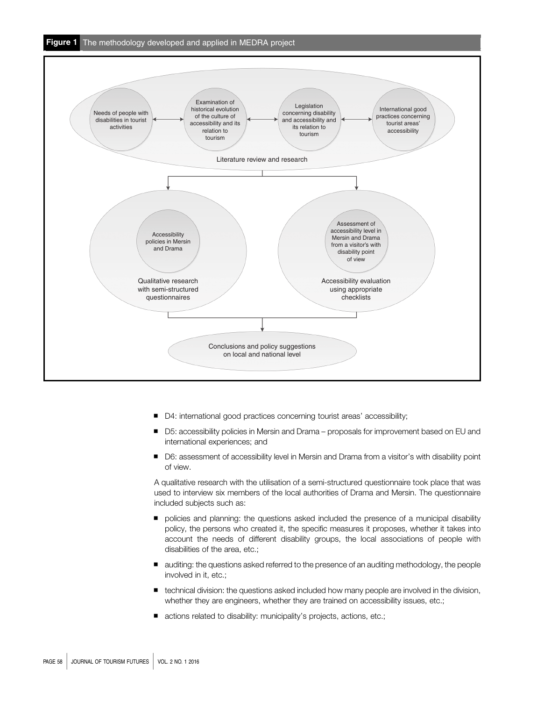

- D4: international good practices concerning tourist areas' accessibility;
- D5: accessibility policies in Mersin and Drama proposals for improvement based on EU and international experiences; and
- D6: assessment of accessibility level in Mersin and Drama from a visitor's with disability point of view.

A qualitative research with the utilisation of a semi-structured questionnaire took place that was used to interview six members of the local authorities of Drama and Mersin. The questionnaire included subjects such as:

- policies and planning: the questions asked included the presence of a municipal disability policy, the persons who created it, the specific measures it proposes, whether it takes into account the needs of different disability groups, the local associations of people with disabilities of the area, etc.;
- auditing: the questions asked referred to the presence of an auditing methodology, the people involved in it, etc.;
- technical division: the questions asked included how many people are involved in the division, whether they are engineers, whether they are trained on accessibility issues, etc.;
- actions related to disability: municipality's projects, actions, etc.;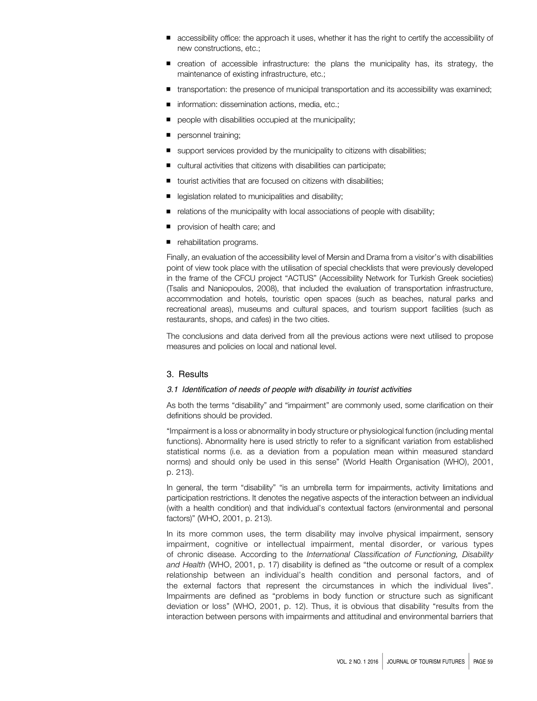- accessibility office: the approach it uses, whether it has the right to certify the accessibility of new constructions, etc.;
- creation of accessible infrastructure: the plans the municipality has, its strategy, the maintenance of existing infrastructure, etc.;
- transportation: the presence of municipal transportation and its accessibility was examined;
- information: dissemination actions, media, etc.;
- people with disabilities occupied at the municipality;
- personnel training;
- support services provided by the municipality to citizens with disabilities;
- cultural activities that citizens with disabilities can participate;
- tourist activities that are focused on citizens with disabilities;
- legislation related to municipalities and disability;
- relations of the municipality with local associations of people with disability;
- provision of health care; and
- rehabilitation programs.

Finally, an evaluation of the accessibility level of Mersin and Drama from a visitor's with disabilities point of view took place with the utilisation of special checklists that were previously developed in the frame of the CFCU project "ACTUS" (Accessibility Network for Turkish Greek societies) (Tsalis and Naniopoulos, 2008), that included the evaluation of transportation infrastructure, accommodation and hotels, touristic open spaces (such as beaches, natural parks and recreational areas), museums and cultural spaces, and tourism support facilities (such as restaurants, shops, and cafes) in the two cities.

The conclusions and data derived from all the previous actions were next utilised to propose measures and policies on local and national level.

# 3. Results

#### 3.1 Identification of needs of people with disability in tourist activities

As both the terms "disability" and "impairment" are commonly used, some clarification on their definitions should be provided.

"Impairment is a loss or abnormality in body structure or physiological function (including mental functions). Abnormality here is used strictly to refer to a significant variation from established statistical norms (i.e. as a deviation from a population mean within measured standard norms) and should only be used in this sense" (World Health Organisation (WHO), 2001, p. 213).

In general, the term "disability" "is an umbrella term for impairments, activity limitations and participation restrictions. It denotes the negative aspects of the interaction between an individual (with a health condition) and that individual's contextual factors (environmental and personal factors)" (WHO, 2001, p. 213).

In its more common uses, the term disability may involve physical impairment, sensory impairment, cognitive or intellectual impairment, mental disorder, or various types of chronic disease. According to the International Classification of Functioning, Disability and Health (WHO, 2001, p. 17) disability is defined as "the outcome or result of a complex relationship between an individual's health condition and personal factors, and of the external factors that represent the circumstances in which the individual lives". Impairments are defined as "problems in body function or structure such as significant deviation or loss" (WHO, 2001, p. 12). Thus, it is obvious that disability "results from the interaction between persons with impairments and attitudinal and environmental barriers that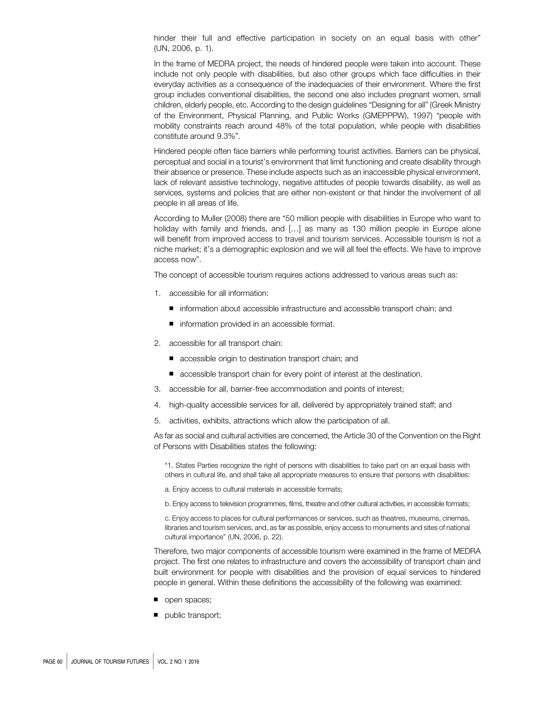hinder their full and effective participation in society on an equal basis with other" (UN, 2006, p. 1).

In the frame of MEDRA project, the needs of hindered people were taken into account. These include not only people with disabilities, but also other groups which face difficulties in their everyday activities as a consequence of the inadequacies of their environment. Where the first group includes conventional disabilities, the second one also includes pregnant women, small children, elderly people, etc. According to the design guidelines "Designing for all" (Greek Ministry of the Environment, Physical Planning, and Public Works (GMEPPPW), 1997) "people with mobility constraints reach around 48% of the total population, while people with disabilities constitute around 9.3%".

Hindered people often face barriers while performing tourist activities. Barriers can be physical, perceptual and social in a tourist's environment that limit functioning and create disability through their absence or presence. These include aspects such as an inaccessible physical environment, lack of relevant assistive technology, negative attitudes of people towards disability, as well as services, systems and policies that are either non-existent or that hinder the involvement of all people in all areas of life.

According to Muller (2008) there are "50 million people with disabilities in Europe who want to holiday with family and friends, and [...] as many as 130 million people in Europe alone will benefit from improved access to travel and tourism services. Accessible tourism is not a niche market; it's a demographic explosion and we will all feel the effects. We have to improve access now".

The concept of accessible tourism requires actions addressed to various areas such as:

- 1. accessible for all information:
	- information about accessible infrastructure and accessible transport chain; and
	- information provided in an accessible format.
- 2. accessible for all transport chain:
	- accessible origin to destination transport chain; and
	- accessible transport chain for every point of interest at the destination.
- 3. accessible for all, barrier-free accommodation and points of interest;
- 4. high-quality accessible services for all, delivered by appropriately trained staff; and
- 5. activities, exhibits, attractions which allow the participation of all.

As far as social and cultural activities are concerned, the Article 30 of the Convention on the Right of Persons with Disabilities states the following:

"1. States Parties recognize the right of persons with disabilities to take part on an equal basis with others in cultural life, and shall take all appropriate measures to ensure that persons with disabilities:

a. Enjoy access to cultural materials in accessible formats;

b. Enjoy access to television programmes, films, theatre and other cultural activities, in accessible formats;

c. Enjoy access to places for cultural performances or services, such as theatres, museums, cinemas, libraries and tourism services, and, as far as possible, enjoy access to monuments and sites of national cultural importance" (UN, 2006, p. 22).

Therefore, two major components of accessible tourism were examined in the frame of MEDRA project. The first one relates to infrastructure and covers the accessibility of transport chain and built environment for people with disabilities and the provision of equal services to hindered people in general. Within these definitions the accessibility of the following was examined:

- open spaces;
- public transport;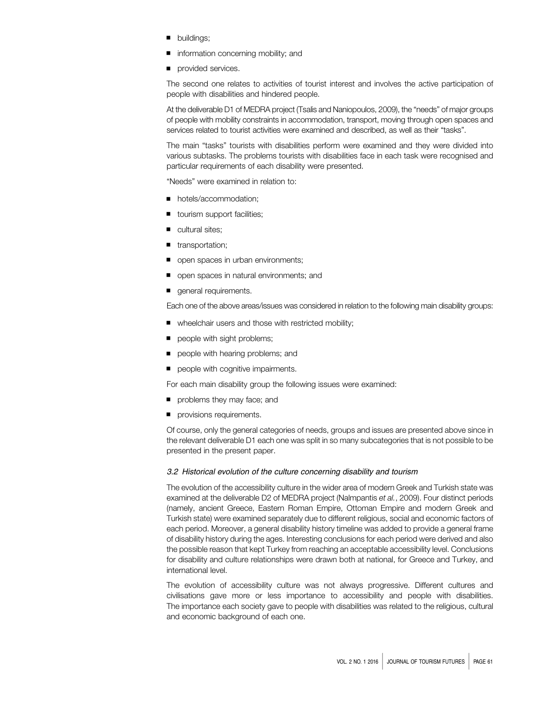- buildings;
- information concerning mobility; and
- provided services.

The second one relates to activities of tourist interest and involves the active participation of people with disabilities and hindered people.

At the deliverable D1 of MEDRA project (Tsalis and Naniopoulos, 2009), the "needs" of major groups of people with mobility constraints in accommodation, transport, moving through open spaces and services related to tourist activities were examined and described, as well as their "tasks".

The main "tasks" tourists with disabilities perform were examined and they were divided into various subtasks. The problems tourists with disabilities face in each task were recognised and particular requirements of each disability were presented.

"Needs" were examined in relation to:

- hotels/accommodation:
- tourism support facilities;
- cultural sites;
- transportation;
- open spaces in urban environments;
- open spaces in natural environments; and
- general requirements.

Each one of the above areas/issues was considered in relation to the following main disability groups:

- wheelchair users and those with restricted mobility;
- people with sight problems;
- people with hearing problems; and
- people with cognitive impairments.

For each main disability group the following issues were examined:

- problems they may face; and
- provisions requirements.

Of course, only the general categories of needs, groups and issues are presented above since in the relevant deliverable D1 each one was split in so many subcategories that is not possible to be presented in the present paper.

#### 3.2 Historical evolution of the culture concerning disability and tourism

The evolution of the accessibility culture in the wider area of modern Greek and Turkish state was examined at the deliverable D2 of MEDRA project (Nalmpantis et al., 2009). Four distinct periods (namely, ancient Greece, Eastern Roman Empire, Ottoman Empire and modern Greek and Turkish state) were examined separately due to different religious, social and economic factors of each period. Moreover, a general disability history timeline was added to provide a general frame of disability history during the ages. Interesting conclusions for each period were derived and also the possible reason that kept Turkey from reaching an acceptable accessibility level. Conclusions for disability and culture relationships were drawn both at national, for Greece and Turkey, and international level.

The evolution of accessibility culture was not always progressive. Different cultures and civilisations gave more or less importance to accessibility and people with disabilities. The importance each society gave to people with disabilities was related to the religious, cultural and economic background of each one.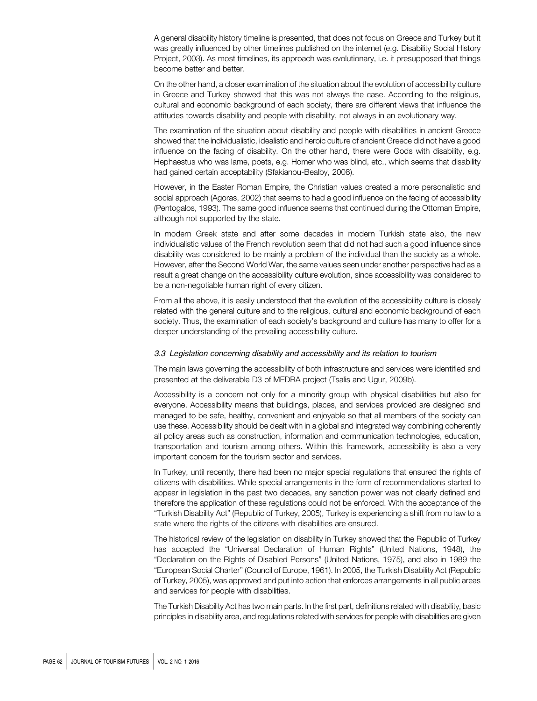A general disability history timeline is presented, that does not focus on Greece and Turkey but it was greatly influenced by other timelines published on the internet (e.g. Disability Social History Project, 2003). As most timelines, its approach was evolutionary, i.e. it presupposed that things become better and better.

On the other hand, a closer examination of the situation about the evolution of accessibility culture in Greece and Turkey showed that this was not always the case. According to the religious, cultural and economic background of each society, there are different views that influence the attitudes towards disability and people with disability, not always in an evolutionary way.

The examination of the situation about disability and people with disabilities in ancient Greece showed that the individualistic, idealistic and heroic culture of ancient Greece did not have a good influence on the facing of disability. On the other hand, there were Gods with disability, e.g. Hephaestus who was lame, poets, e.g. Homer who was blind, etc., which seems that disability had gained certain acceptability (Sfakianou-Bealby, 2008).

However, in the Easter Roman Empire, the Christian values created a more personalistic and social approach (Agoras, 2002) that seems to had a good influence on the facing of accessibility (Pentogalos, 1993). The same good influence seems that continued during the Ottoman Empire, although not supported by the state.

In modern Greek state and after some decades in modern Turkish state also, the new individualistic values of the French revolution seem that did not had such a good influence since disability was considered to be mainly a problem of the individual than the society as a whole. However, after the Second World War, the same values seen under another perspective had as a result a great change on the accessibility culture evolution, since accessibility was considered to be a non-negotiable human right of every citizen.

From all the above, it is easily understood that the evolution of the accessibility culture is closely related with the general culture and to the religious, cultural and economic background of each society. Thus, the examination of each society's background and culture has many to offer for a deeper understanding of the prevailing accessibility culture.

#### 3.3 Legislation concerning disability and accessibility and its relation to tourism

The main laws governing the accessibility of both infrastructure and services were identified and presented at the deliverable D3 of MEDRA project (Tsalis and Ugur, 2009b).

Accessibility is a concern not only for a minority group with physical disabilities but also for everyone. Accessibility means that buildings, places, and services provided are designed and managed to be safe, healthy, convenient and enjoyable so that all members of the society can use these. Accessibility should be dealt with in a global and integrated way combining coherently all policy areas such as construction, information and communication technologies, education, transportation and tourism among others. Within this framework, accessibility is also a very important concern for the tourism sector and services.

In Turkey, until recently, there had been no major special regulations that ensured the rights of citizens with disabilities. While special arrangements in the form of recommendations started to appear in legislation in the past two decades, any sanction power was not clearly defined and therefore the application of these regulations could not be enforced. With the acceptance of the "Turkish Disability Act" (Republic of Turkey, 2005), Turkey is experiencing a shift from no law to a state where the rights of the citizens with disabilities are ensured.

The historical review of the legislation on disability in Turkey showed that the Republic of Turkey has accepted the "Universal Declaration of Human Rights" (United Nations, 1948), the "Declaration on the Rights of Disabled Persons" (United Nations, 1975), and also in 1989 the "European Social Charter" (Council of Europe, 1961). In 2005, the Turkish Disability Act (Republic of Turkey, 2005), was approved and put into action that enforces arrangements in all public areas and services for people with disabilities.

The Turkish Disability Act has two main parts. In the first part, definitions related with disability, basic principles in disability area, and regulations related with services for people with disabilities are given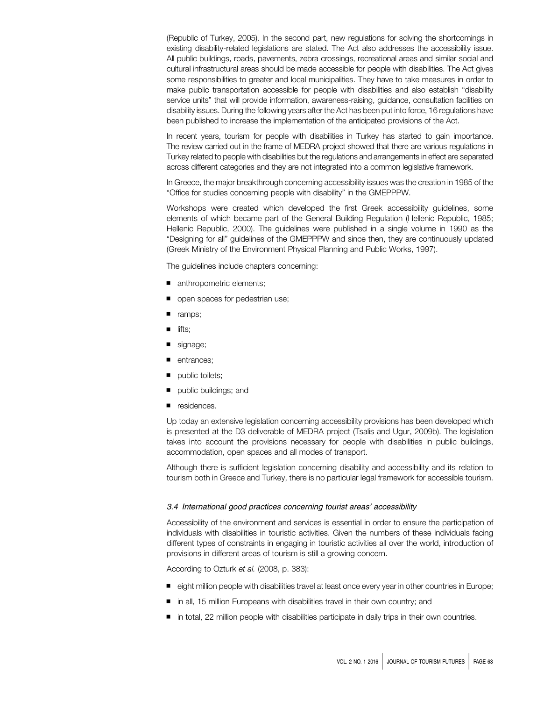(Republic of Turkey, 2005). In the second part, new regulations for solving the shortcomings in existing disability-related legislations are stated. The Act also addresses the accessibility issue. All public buildings, roads, pavements, zebra crossings, recreational areas and similar social and cultural infrastructural areas should be made accessible for people with disabilities. The Act gives some responsibilities to greater and local municipalities. They have to take measures in order to make public transportation accessible for people with disabilities and also establish "disability service units" that will provide information, awareness-raising, guidance, consultation facilities on disability issues. During the following years after the Act has been put into force, 16 regulations have been published to increase the implementation of the anticipated provisions of the Act.

In recent years, tourism for people with disabilities in Turkey has started to gain importance. The review carried out in the frame of MEDRA project showed that there are various regulations in Turkey related to people with disabilities but the regulations and arrangements in effect are separated across different categories and they are not integrated into a common legislative framework.

In Greece, the major breakthrough concerning accessibility issues was the creation in 1985 of the "Office for studies concerning people with disability" in the GMEPPPW.

Workshops were created which developed the first Greek accessibility guidelines, some elements of which became part of the General Building Regulation (Hellenic Republic, 1985; Hellenic Republic, 2000). The guidelines were published in a single volume in 1990 as the "Designing for all" guidelines of the GMEPPPW and since then, they are continuously updated (Greek Ministry of the Environment Physical Planning and Public Works, 1997).

The guidelines include chapters concerning:

- anthropometric elements;
- open spaces for pedestrian use;
- ramps;
- lifts;
- signage;
- entrances:
- public toilets;
- public buildings; and
- residences.

Up today an extensive legislation concerning accessibility provisions has been developed which is presented at the D3 deliverable of MEDRA project (Tsalis and Ugur, 2009b). The legislation takes into account the provisions necessary for people with disabilities in public buildings, accommodation, open spaces and all modes of transport.

Although there is sufficient legislation concerning disability and accessibility and its relation to tourism both in Greece and Turkey, there is no particular legal framework for accessible tourism.

#### 3.4 International good practices concerning tourist areas' accessibility

Accessibility of the environment and services is essential in order to ensure the participation of individuals with disabilities in touristic activities. Given the numbers of these individuals facing different types of constraints in engaging in touristic activities all over the world, introduction of provisions in different areas of tourism is still a growing concern.

According to Ozturk et al. (2008, p. 383):

- eight million people with disabilities travel at least once every year in other countries in Europe;
- in all, 15 million Europeans with disabilities travel in their own country; and
- in total, 22 million people with disabilities participate in daily trips in their own countries.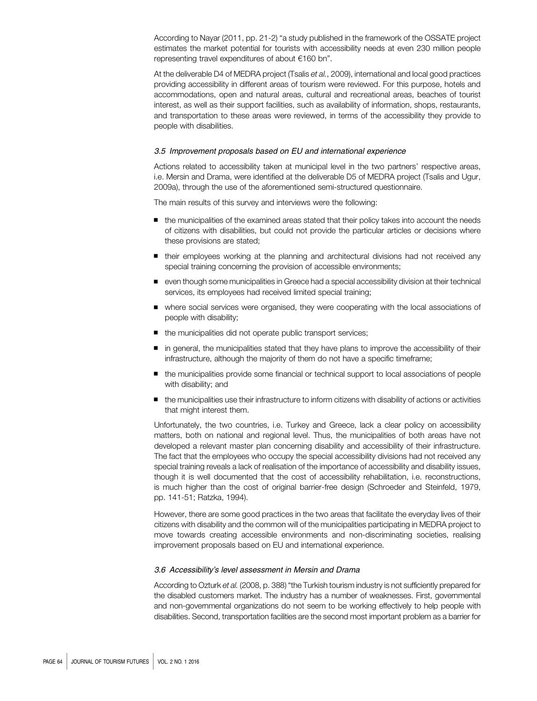According to Nayar (2011, pp. 21-2) "a study published in the framework of the OSSATE project estimates the market potential for tourists with accessibility needs at even 230 million people representing travel expenditures of about €160 bn".

At the deliverable D4 of MEDRA project (Tsalis et al., 2009), international and local good practices providing accessibility in different areas of tourism were reviewed. For this purpose, hotels and accommodations, open and natural areas, cultural and recreational areas, beaches of tourist interest, as well as their support facilities, such as availability of information, shops, restaurants, and transportation to these areas were reviewed, in terms of the accessibility they provide to people with disabilities.

#### 3.5 Improvement proposals based on EU and international experience

Actions related to accessibility taken at municipal level in the two partners' respective areas, i.e. Mersin and Drama, were identified at the deliverable D5 of MEDRA project (Tsalis and Ugur, 2009a), through the use of the aforementioned semi-structured questionnaire.

The main results of this survey and interviews were the following:

- the municipalities of the examined areas stated that their policy takes into account the needs of citizens with disabilities, but could not provide the particular articles or decisions where these provisions are stated;
- their employees working at the planning and architectural divisions had not received any special training concerning the provision of accessible environments;
- even though some municipalities in Greece had a special accessibility division at their technical services, its employees had received limited special training;
- where social services were organised, they were cooperating with the local associations of people with disability;
- the municipalities did not operate public transport services;
- in general, the municipalities stated that they have plans to improve the accessibility of their infrastructure, although the majority of them do not have a specific timeframe;
- the municipalities provide some financial or technical support to local associations of people with disability; and
- the municipalities use their infrastructure to inform citizens with disability of actions or activities that might interest them.

Unfortunately, the two countries, i.e. Turkey and Greece, lack a clear policy on accessibility matters, both on national and regional level. Thus, the municipalities of both areas have not developed a relevant master plan concerning disability and accessibility of their infrastructure. The fact that the employees who occupy the special accessibility divisions had not received any special training reveals a lack of realisation of the importance of accessibility and disability issues, though it is well documented that the cost of accessibility rehabilitation, i.e. reconstructions, is much higher than the cost of original barrier-free design (Schroeder and Steinfeld, 1979, pp. 141-51; Ratzka, 1994).

However, there are some good practices in the two areas that facilitate the everyday lives of their citizens with disability and the common will of the municipalities participating in MEDRA project to move towards creating accessible environments and non-discriminating societies, realising improvement proposals based on EU and international experience.

#### 3.6 Accessibility's level assessment in Mersin and Drama

According to Ozturk et al. (2008, p. 388) "the Turkish tourism industry is not sufficiently prepared for the disabled customers market. The industry has a number of weaknesses. First, governmental and non-governmental organizations do not seem to be working effectively to help people with disabilities. Second, transportation facilities are the second most important problem as a barrier for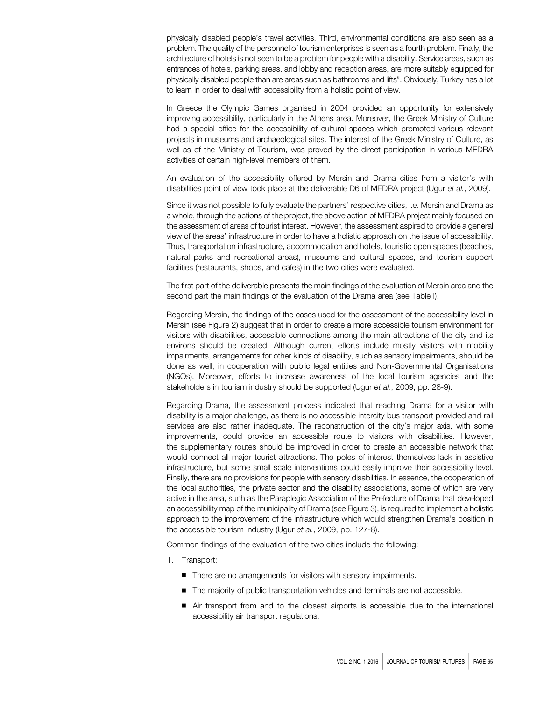physically disabled people's travel activities. Third, environmental conditions are also seen as a problem. The quality of the personnel of tourism enterprises is seen as a fourth problem. Finally, the architecture of hotels is not seen to be a problem for people with a disability. Service areas, such as entrances of hotels, parking areas, and lobby and reception areas, are more suitably equipped for physically disabled people than are areas such as bathrooms and lifts". Obviously, Turkey has a lot to learn in order to deal with accessibility from a holistic point of view.

In Greece the Olympic Games organised in 2004 provided an opportunity for extensively improving accessibility, particularly in the Athens area. Moreover, the Greek Ministry of Culture had a special office for the accessibility of cultural spaces which promoted various relevant projects in museums and archaeological sites. The interest of the Greek Ministry of Culture, as well as of the Ministry of Tourism, was proved by the direct participation in various MEDRA activities of certain high-level members of them.

An evaluation of the accessibility offered by Mersin and Drama cities from a visitor's with disabilities point of view took place at the deliverable D6 of MEDRA project (Ugur et al., 2009).

Since it was not possible to fully evaluate the partners' respective cities, i.e. Mersin and Drama as a whole, through the actions of the project, the above action of MEDRA project mainly focused on the assessment of areas of tourist interest. However, the assessment aspired to provide a general view of the areas' infrastructure in order to have a holistic approach on the issue of accessibility. Thus, transportation infrastructure, accommodation and hotels, touristic open spaces (beaches, natural parks and recreational areas), museums and cultural spaces, and tourism support facilities (restaurants, shops, and cafes) in the two cities were evaluated.

The first part of the deliverable presents the main findings of the evaluation of Mersin area and the second part the main findings of the evaluation of the Drama area (see Table I).

Regarding Mersin, the findings of the cases used for the assessment of the accessibility level in Mersin (see Figure 2) suggest that in order to create a more accessible tourism environment for visitors with disabilities, accessible connections among the main attractions of the city and its environs should be created. Although current efforts include mostly visitors with mobility impairments, arrangements for other kinds of disability, such as sensory impairments, should be done as well, in cooperation with public legal entities and Non-Governmental Organisations (NGOs). Moreover, efforts to increase awareness of the local tourism agencies and the stakeholders in tourism industry should be supported (Ugur et al., 2009, pp. 28-9).

Regarding Drama, the assessment process indicated that reaching Drama for a visitor with disability is a major challenge, as there is no accessible intercity bus transport provided and rail services are also rather inadequate. The reconstruction of the city's major axis, with some improvements, could provide an accessible route to visitors with disabilities. However, the supplementary routes should be improved in order to create an accessible network that would connect all major tourist attractions. The poles of interest themselves lack in assistive infrastructure, but some small scale interventions could easily improve their accessibility level. Finally, there are no provisions for people with sensory disabilities. In essence, the cooperation of the local authorities, the private sector and the disability associations, some of which are very active in the area, such as the Paraplegic Association of the Prefecture of Drama that developed an accessibility map of the municipality of Drama (see Figure 3), is required to implement a holistic approach to the improvement of the infrastructure which would strengthen Drama's position in the accessible tourism industry (Ugur et al., 2009, pp. 127-8).

Common findings of the evaluation of the two cities include the following:

- 1. Transport:
	- There are no arrangements for visitors with sensory impairments.
	- The majority of public transportation vehicles and terminals are not accessible.
	- Air transport from and to the closest airports is accessible due to the international accessibility air transport regulations.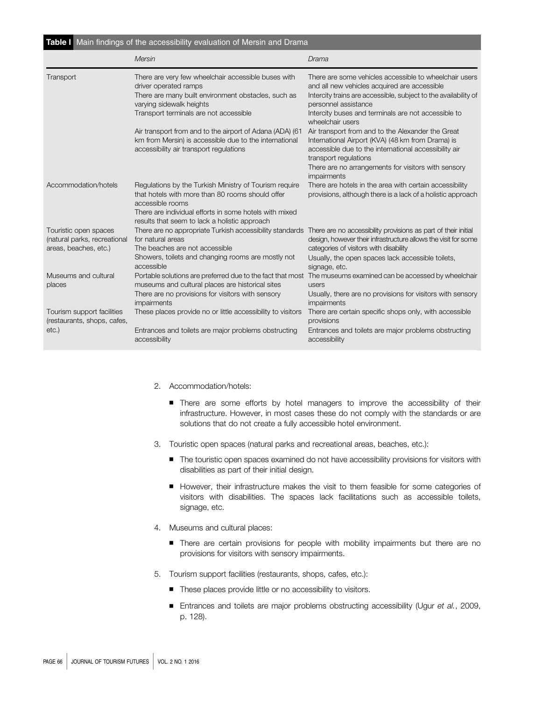| Table I Main findings of the accessibility evaluation of Mersin and Drama      |                                                                                                                                                                                                                                           |                                                                                                                                                                                                                                                                              |
|--------------------------------------------------------------------------------|-------------------------------------------------------------------------------------------------------------------------------------------------------------------------------------------------------------------------------------------|------------------------------------------------------------------------------------------------------------------------------------------------------------------------------------------------------------------------------------------------------------------------------|
|                                                                                | Mersin                                                                                                                                                                                                                                    | Drama                                                                                                                                                                                                                                                                        |
| Transport                                                                      | There are very few wheelchair accessible buses with<br>driver operated ramps<br>There are many built environment obstacles, such as<br>varying sidewalk heights<br>Transport terminals are not accessible                                 | There are some vehicles accessible to wheelchair users<br>and all new vehicles acquired are accessible<br>Intercity trains are accessible, subject to the availability of<br>personnel assistance<br>Intercity buses and terminals are not accessible to<br>wheelchair users |
|                                                                                | Air transport from and to the airport of Adana (ADA) (61<br>km from Mersin) is accessible due to the international<br>accessibility air transport regulations                                                                             | Air transport from and to the Alexander the Great<br>International Airport (KVA) (48 km from Drama) is<br>accessible due to the international accessibility air<br>transport regulations<br>There are no arrangements for visitors with sensory<br>impairments               |
| Accommodation/hotels                                                           | Regulations by the Turkish Ministry of Tourism require<br>that hotels with more than 80 rooms should offer<br>accessible rooms<br>There are individual efforts in some hotels with mixed<br>results that seem to lack a holistic approach | There are hotels in the area with certain accessibility<br>provisions, although there is a lack of a holistic approach                                                                                                                                                       |
| Touristic open spaces<br>(natural parks, recreational<br>areas, beaches, etc.) | There are no appropriate Turkish accessibility standards There are no accessibility provisions as part of their initial<br>for natural areas<br>The beaches are not accessible<br>Showers, toilets and changing rooms are mostly not      | design, however their infrastructure allows the visit for some<br>categories of visitors with disability<br>Usually, the open spaces lack accessible toilets,                                                                                                                |
| Museums and cultural<br>places                                                 | accessible<br>museums and cultural places are historical sites<br>There are no provisions for visitors with sensory<br>impairments                                                                                                        | signage, etc.<br>Portable solutions are preferred due to the fact that most The museums examined can be accessed by wheelchair<br>users<br>Usually, there are no provisions for visitors with sensory<br>impairments                                                         |
| Tourism support facilities<br>(restaurants, shops, cafes,<br>$etc.$ )          | These places provide no or little accessibility to visitors<br>Entrances and toilets are major problems obstructing<br>accessibility                                                                                                      | There are certain specific shops only, with accessible<br>provisions<br>Entrances and toilets are major problems obstructing<br>accessibility                                                                                                                                |

- 2. Accommodation/hotels:
	- There are some efforts by hotel managers to improve the accessibility of their infrastructure. However, in most cases these do not comply with the standards or are solutions that do not create a fully accessible hotel environment.
- 3. Touristic open spaces (natural parks and recreational areas, beaches, etc.):
	- The touristic open spaces examined do not have accessibility provisions for visitors with disabilities as part of their initial design.
	- However, their infrastructure makes the visit to them feasible for some categories of visitors with disabilities. The spaces lack facilitations such as accessible toilets, signage, etc.
- 4. Museums and cultural places:
	- There are certain provisions for people with mobility impairments but there are no provisions for visitors with sensory impairments.
- 5. Tourism support facilities (restaurants, shops, cafes, etc.):
	- These places provide little or no accessibility to visitors.
	- Entrances and toilets are major problems obstructing accessibility (Ugur et al., 2009, p. 128).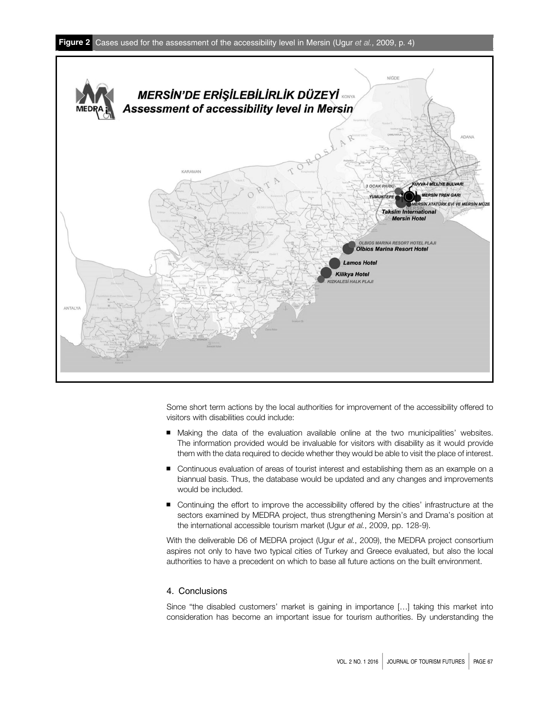

Some short term actions by the local authorities for improvement of the accessibility offered to visitors with disabilities could include:

- Making the data of the evaluation available online at the two municipalities' websites. The information provided would be invaluable for visitors with disability as it would provide them with the data required to decide whether they would be able to visit the place of interest.
- Continuous evaluation of areas of tourist interest and establishing them as an example on a biannual basis. Thus, the database would be updated and any changes and improvements would be included.
- Continuing the effort to improve the accessibility offered by the cities' infrastructure at the sectors examined by MEDRA project, thus strengthening Mersin's and Drama's position at the international accessible tourism market (Ugur et al., 2009, pp. 128-9).

With the deliverable D6 of MEDRA project (Ugur et al., 2009), the MEDRA project consortium aspires not only to have two typical cities of Turkey and Greece evaluated, but also the local authorities to have a precedent on which to base all future actions on the built environment.

# 4. Conclusions

Since "the disabled customers' market is gaining in importance […] taking this market into consideration has become an important issue for tourism authorities. By understanding the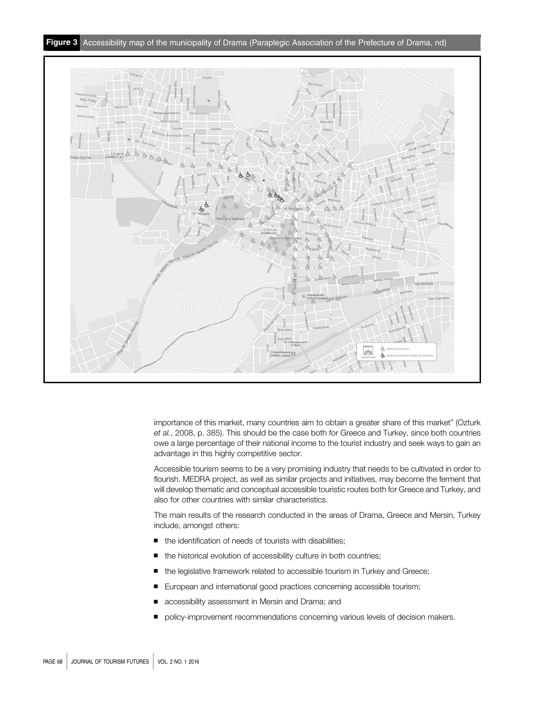

importance of this market, many countries aim to obtain a greater share of this market" (Ozturk et al., 2008, p. 385). This should be the case both for Greece and Turkey, since both countries owe a large percentage of their national income to the tourist industry and seek ways to gain an advantage in this highly competitive sector.

Accessible tourism seems to be a very promising industry that needs to be cultivated in order to flourish. MEDRA project, as well as similar projects and initiatives, may become the ferment that will develop thematic and conceptual accessible touristic routes both for Greece and Turkey, and also for other countries with similar characteristics.

The main results of the research conducted in the areas of Drama, Greece and Mersin, Turkey include, amongst others:

- the identification of needs of tourists with disabilities:
- the historical evolution of accessibility culture in both countries;
- the legislative framework related to accessible tourism in Turkey and Greece;
- European and international good practices concerning accessible tourism;
- accessibility assessment in Mersin and Drama; and
- policy-improvement recommendations concerning various levels of decision makers.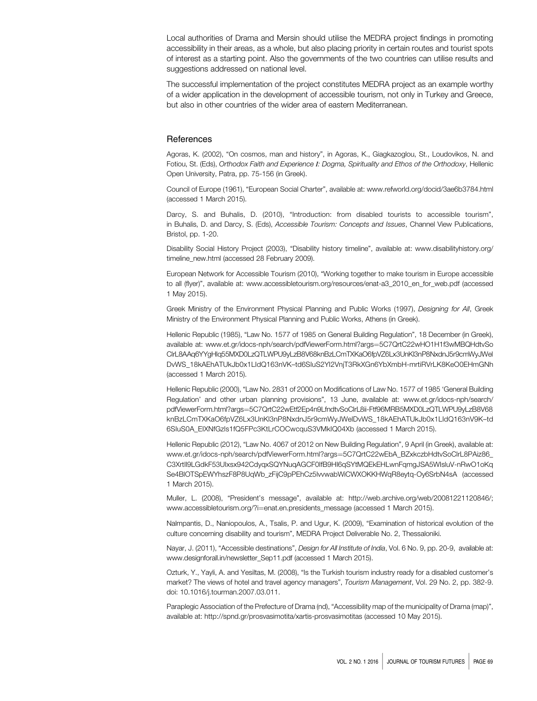Local authorities of Drama and Mersin should utilise the MEDRA project findings in promoting accessibility in their areas, as a whole, but also placing priority in certain routes and tourist spots of interest as a starting point. Also the governments of the two countries can utilise results and suggestions addressed on national level.

The successful implementation of the project constitutes MEDRA project as an example worthy of a wider application in the development of accessible tourism, not only in Turkey and Greece, but also in other countries of the wider area of eastern Mediterranean.

## **References**

Agoras, K. (2002), "On cosmos, man and history", in Agoras, K., Giagkazoglou, St., Loudovikos, N. and Fotiou, St. (Eds), Orthodox Faith and Experience Ι: Dogma, Spirituality and Ethos of the Orthodoxy, Hellenic Open University, Patra, pp. 75-156 (in Greek).

Council of Europe (1961), "European Social Charter", available at:<www.refworld.org/docid/3ae6b3784.html> (accessed 1 March 2015).

Darcy, S. and Buhalis, D. (2010), "Introduction: from disabled tourists to accessible tourism", in Buhalis, D. and Darcy, S. (Eds), Accessible Tourism: Concepts and Issues, Channel View Publications, Bristol, pp. 1-20.

Disability Social History Project (2003), "Disability history timeline", available at: [www.disabilityhistory.org/](www.disabilityhistory.org/timeline_new.html) [timeline\\_new.html](www.disabilityhistory.org/timeline_new.html) (accessed 28 February 2009).

European Network for Accessible Tourism (2010), "Working together to make tourism in Europe accessible to all (flyer)", available at: [www.accessibletourism.org/resources/enat-a3\\_2010\\_en\\_for\\_web.pdf](www.accessibletourism.org/resources/enat-a3_2010_en_for_web.pdf) (accessed 1 May 2015).

Greek Ministry of the Environment Physical Planning and Public Works (1997), Designing for All, Greek Ministry of the Environment Physical Planning and Public Works, Athens (in Greek).

Hellenic Republic (1985), "Law No. 1577 of 1985 on General Building Regulation", 18 December (in Greek), available at: [www.et.gr/idocs-nph/search/pdfViewerForm.html?args](www.et.gr/idocs-nph/search/pdfViewerForm.html?args�=�5C7QrtC22wHO1H1f3wMBQHdtvSoClrL8AAq6YYgHlq55MXD0LzQTLWPU9yLzB8V68knBzLCmTXKaO6fpVZ6Lx3UnKl3nP8NxdnJ5r9cmWyJWelDvWS_18kAEhATUkJb0x1LIdQ163nVK--td6SIuS2YI2VnjT3RkXGn6YbXmbH-mrtiRVrLK8KeO0EHmGNh)=[5C7QrtC22wHO1H1f3wMBQHdtvSo](www.et.gr/idocs-nph/search/pdfViewerForm.html?args�=�5C7QrtC22wHO1H1f3wMBQHdtvSoClrL8AAq6YYgHlq55MXD0LzQTLWPU9yLzB8V68knBzLCmTXKaO6fpVZ6Lx3UnKl3nP8NxdnJ5r9cmWyJWelDvWS_18kAEhATUkJb0x1LIdQ163nVK--td6SIuS2YI2VnjT3RkXGn6YbXmbH-mrtiRVrLK8KeO0EHmGNh) [ClrL8AAq6YYgHlq55MXD0LzQTLWPU9yLzB8V68knBzLCmTXKaO6fpVZ6Lx3UnKl3nP8NxdnJ5r9cmWyJWel](www.et.gr/idocs-nph/search/pdfViewerForm.html?args�=�5C7QrtC22wHO1H1f3wMBQHdtvSoClrL8AAq6YYgHlq55MXD0LzQTLWPU9yLzB8V68knBzLCmTXKaO6fpVZ6Lx3UnKl3nP8NxdnJ5r9cmWyJWelDvWS_18kAEhATUkJb0x1LIdQ163nVK--td6SIuS2YI2VnjT3RkXGn6YbXmbH-mrtiRVrLK8KeO0EHmGNh) DvWS\_18kAEhATUkJb0x1LIdQ163nVK–[td6SIuS2YI2VnjT3RkXGn6YbXmbH-mrtiRVrLK8KeO0EHmGNh](www.et.gr/idocs-nph/search/pdfViewerForm.html?args�=�5C7QrtC22wHO1H1f3wMBQHdtvSoClrL8AAq6YYgHlq55MXD0LzQTLWPU9yLzB8V68knBzLCmTXKaO6fpVZ6Lx3UnKl3nP8NxdnJ5r9cmWyJWelDvWS_18kAEhATUkJb0x1LIdQ163nVK--td6SIuS2YI2VnjT3RkXGn6YbXmbH-mrtiRVrLK8KeO0EHmGNh) (accessed 1 March 2015).

Hellenic Republic (2000), "Law No. 2831 of 2000 on Modifications of Law No. 1577 of 1985 'General Building Regulation' and other urban planning provisions", 13 June, available at: [www.et.gr/idocs-nph/search/](www.et.gr/idocs-nph/search/pdfViewerForm.html?args�=�5C7QrtC22wEtf2Ep4n9LfndtvSoClrL8ii-Ftf96MRB5MXD0LzQTLWPU9yLzB8V68knBzLCmTXKaO6fpVZ6Lx3UnKl3nP8NxdnJ5r9cmWyJWelDvWS_18kAEhATUkJb0x1LIdQ163nV9K--td6SIuS0A_EIXNfGzls1fQ5FPc3KtLrCOCwcquS3VMkIQ04Xb) [pdfViewerForm.html?args](www.et.gr/idocs-nph/search/pdfViewerForm.html?args�=�5C7QrtC22wEtf2Ep4n9LfndtvSoClrL8ii-Ftf96MRB5MXD0LzQTLWPU9yLzB8V68knBzLCmTXKaO6fpVZ6Lx3UnKl3nP8NxdnJ5r9cmWyJWelDvWS_18kAEhATUkJb0x1LIdQ163nV9K--td6SIuS0A_EIXNfGzls1fQ5FPc3KtLrCOCwcquS3VMkIQ04Xb)=[5C7QrtC22wEtf2Ep4n9LfndtvSoClrL8ii-Ftf96MRB5MXD0LzQTLWPU9yLzB8V68](www.et.gr/idocs-nph/search/pdfViewerForm.html?args�=�5C7QrtC22wEtf2Ep4n9LfndtvSoClrL8ii-Ftf96MRB5MXD0LzQTLWPU9yLzB8V68knBzLCmTXKaO6fpVZ6Lx3UnKl3nP8NxdnJ5r9cmWyJWelDvWS_18kAEhATUkJb0x1LIdQ163nV9K--td6SIuS0A_EIXNfGzls1fQ5FPc3KtLrCOCwcquS3VMkIQ04Xb) [knBzLCmTXKaO6fpVZ6Lx3UnKl3nP8NxdnJ5r9cmWyJWelDvWS\\_18kAEhATUkJb0x1LIdQ163nV9K](www.et.gr/idocs-nph/search/pdfViewerForm.html?args�=�5C7QrtC22wEtf2Ep4n9LfndtvSoClrL8ii-Ftf96MRB5MXD0LzQTLWPU9yLzB8V68knBzLCmTXKaO6fpVZ6Lx3UnKl3nP8NxdnJ5r9cmWyJWelDvWS_18kAEhATUkJb0x1LIdQ163nV9K--td6SIuS0A_EIXNfGzls1fQ5FPc3KtLrCOCwcquS3VMkIQ04Xb)–td [6SIuS0A\\_EIXNfGzls1fQ5FPc3KtLrCOCwcquS3VMkIQ04Xb](www.et.gr/idocs-nph/search/pdfViewerForm.html?args�=�5C7QrtC22wEtf2Ep4n9LfndtvSoClrL8ii-Ftf96MRB5MXD0LzQTLWPU9yLzB8V68knBzLCmTXKaO6fpVZ6Lx3UnKl3nP8NxdnJ5r9cmWyJWelDvWS_18kAEhATUkJb0x1LIdQ163nV9K--td6SIuS0A_EIXNfGzls1fQ5FPc3KtLrCOCwcquS3VMkIQ04Xb) (accessed 1 March 2015).

Hellenic Republic (2012), "Law No. 4067 of 2012 on New Building Regulation", 9 April (in Greek), available at: [www.et.gr/idocs-nph/search/pdfViewerForm.html?args](www.et.gr/idocs-nph/search/pdfViewerForm.html?args�=�5C7QrtC22wEbA_BZxkczbHdtvSoClrL8PAiz86_C3XrtIl9LGdkF53UIxsx942CdyqxSQYNuqAGCF0IfB9HI6qSYtMQEkEHLwnFqmgJSA5WIsluV-nRwO1oKqSe4BlOTSpEWYhszF8P8UqWb_zFijC9pPEhCz5lvvwabWiCWXOKKHWqR8eytq-Oy6SrbN4sA)=[5C7QrtC22wEbA\\_BZxkczbHdtvSoClrL8PAiz86\\_](www.et.gr/idocs-nph/search/pdfViewerForm.html?args�=�5C7QrtC22wEbA_BZxkczbHdtvSoClrL8PAiz86_C3XrtIl9LGdkF53UIxsx942CdyqxSQYNuqAGCF0IfB9HI6qSYtMQEkEHLwnFqmgJSA5WIsluV-nRwO1oKqSe4BlOTSpEWYhszF8P8UqWb_zFijC9pPEhCz5lvvwabWiCWXOKKHWqR8eytq-Oy6SrbN4sA) [C3XrtIl9LGdkF53UIxsx942CdyqxSQYNuqAGCF0IfB9HI6qSYtMQEkEHLwnFqmgJSA5WIsluV-nRwO1oKq](www.et.gr/idocs-nph/search/pdfViewerForm.html?args�=�5C7QrtC22wEbA_BZxkczbHdtvSoClrL8PAiz86_C3XrtIl9LGdkF53UIxsx942CdyqxSQYNuqAGCF0IfB9HI6qSYtMQEkEHLwnFqmgJSA5WIsluV-nRwO1oKqSe4BlOTSpEWYhszF8P8UqWb_zFijC9pPEhCz5lvvwabWiCWXOKKHWqR8eytq-Oy6SrbN4sA) [Se4BlOTSpEWYhszF8P8UqWb\\_zFijC9pPEhCz5lvvwabWiCWXOKKHWqR8eytq-Oy6SrbN4sA](www.et.gr/idocs-nph/search/pdfViewerForm.html?args�=�5C7QrtC22wEbA_BZxkczbHdtvSoClrL8PAiz86_C3XrtIl9LGdkF53UIxsx942CdyqxSQYNuqAGCF0IfB9HI6qSYtMQEkEHLwnFqmgJSA5WIsluV-nRwO1oKqSe4BlOTSpEWYhszF8P8UqWb_zFijC9pPEhCz5lvvwabWiCWXOKKHWqR8eytq-Oy6SrbN4sA) (accessed 1 March 2015).

Muller, L. (2008), "President's message", available at: [http://web.archive.org/web/20081221120846/;](http://web.archive.org/web/20081221120846/; www.accessibletourism.org/?i�=�enat.en.presidents_message) [www.accessibletourism.org/?](http://web.archive.org/web/20081221120846/; www.accessibletourism.org/?i�=�enat.en.presidents_message)i=[enat.en.presidents\\_message](http://web.archive.org/web/20081221120846/; www.accessibletourism.org/?i�=�enat.en.presidents_message) (accessed 1 March 2015).

Nalmpantis, D., Naniopoulos, A., Tsalis, P. and Ugur, K. (2009), "Examination of historical evolution of the culture concerning disability and tourism", MEDRA Project Deliverable No. 2, Thessaloniki.

Nayar, J. (2011), "Accessible destinations", *Design for All Institute of India*, Vol. 6 No. 9, pp. 20-9, available at: [www.designforall.in/newsletter\\_Sep11.pdf](www.designforall.in/newsletter_Sep11.pdf) (accessed 1 March 2015).

Ozturk, Y., Yayli, A. and Yesiltas, M. (2008), "Is the Turkish tourism industry ready for a disabled customer's market? The views of hotel and travel agency managers", Tourism Management, Vol. 29 No. 2, pp. 382-9. doi: 10.1016/j.tourman.2007.03.011.

Paraplegic Association of the Prefecture of Drama (nd), "Accessibility map of the municipality of Drama (map)", available at:<http://spnd.gr/prosvasimotita/xartis-prosvasimotitas> (accessed 10 May 2015).